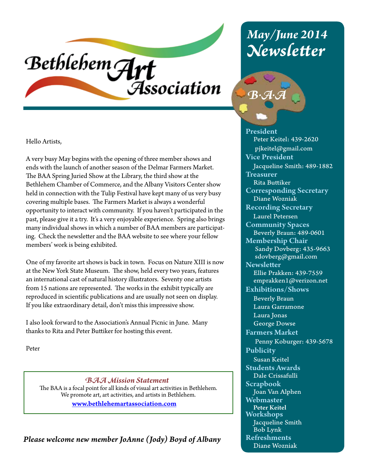# Bethlehem Art **Association**

## *May/June 2014 Newsletter*



Hello Artists,

A very busy May begins with the opening of three member shows and ends with the launch of another season of the Delmar Farmers Market. The BAA Spring Juried Show at the Library, the third show at the Bethlehem Chamber of Commerce, and the Albany Visitors Center show held in connection with the Tulip Festival have kept many of us very busy covering multiple bases. The Farmers Market is always a wonderful opportunity to interact with community. If you haven't participated in the past, please give it a try. It's a very enjoyable experience. Spring also brings many individual shows in which a number of BAA members are participating. Check the newsletter and the BAA website to see where your fellow members' work is being exhibited.

One of my favorite art shows is back in town. Focus on Nature XIII is now at the New York State Museum. The show, held every two years, features an international cast of natural history illustrators. Seventy one artists from 15 nations are represented. The works in the exhibit typically are reproduced in scientific publications and are usually not seen on display. If you like extraordinary detail, don't miss this impressive show.

I also look forward to the Association's Annual Picnic in June. Many thanks to Rita and Peter Buttiker for hosting this event.

Peter

*BAA Mission Statement* The BAA is a focal point for all kinds of visual art activities in Bethlehem. We promote art, art activities, and artists in Bethlehem.

www.bethlehemartassociation.com

*Please welcome new member JoAnne (Jody) Boyd of Albany*

President Peter Keitel: 439-2620 pjkeitel@gmail.com Vice President Jacqueline Smith: 489-1882 **Treasurer**  Rita Buttiker Corresponding Secretary Diane Wozniak Recording Secretary Laurel Petersen Community Spaces Beverly Braun: 489-0601 Membership Chair Sandy Dovberg: 435-9663 sdovberg@gmail.com **Newsletter**  Ellie Prakken: 439-7559 emprakken1@verizon.net Exhibitions/Shows Beverly Braun Laura Garramone Laura Jonas George Dowse Farmers Market Penny Koburger: 439-5678 Publicity Susan Keitel Students Awards Dale Crissafulli Scrapbook Joan Van Alphen Webmaster Peter Keitel Workshops Jacqueline Smith Bob Lynk Refreshments Diane Wozniak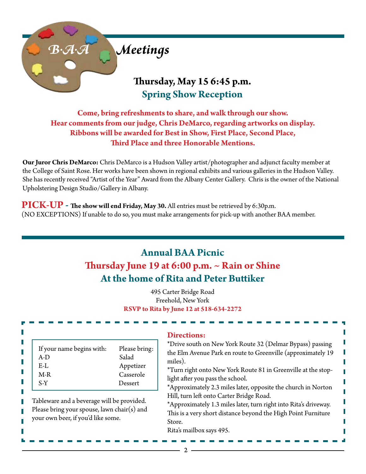

**Come, bring refreshments to share, and walk through our show. Hear comments from our judge, Chris DeMarco, regarding artworks on display. Ribbons will be awarded for Best in Show, First Place, Second Place, Third Place and three Honorable Mentions.**

**Our Juror Chris DeMarco:** Chris DeMarco is a Hudson Valley artist/photographer and adjunct faculty member at the College of Saint Rose. Her works have been shown in regional exhibits and various galleries in the Hudson Valley. She has recently received "Artist of the Year" Award from the Albany Center Gallery. Chris is the owner of the National Upholstering Design Studio/Gallery in Albany.

**PICK-UP - The show will end Friday, May 30.** All entries must be retrieved by 6:30p.m. (NO EXCEPTIONS) If unable to do so, you must make arrangements for pick-up with another BAA member.

## **Annual BAA Picnic Thursday June 19 at 6:00 p.m. ~ Rain or Shine At the home of Rita and Peter Buttiker**

495 Carter Bridge Road Freehold, New York **RSVP to Rita by June 12 at 518-634-2272**

| If your name begins with:<br>$A-D$<br>$E-L$<br>$M-R$<br>S-Y<br>Tableware and a beverage will be provided.<br>Please bring your spouse, lawn chair(s) and<br>your own beer, if you'd like some. | Please bring:<br>Salad<br>Appetizer<br>Casserole<br>Dessert | <b>Directions:</b><br>*Drive south on New York Route 32 (Delmar Bypass) passing<br>the Elm Avenue Park en route to Greenville (approximately 19<br>miles).<br>*Turn right onto New York Route 81 in Greenville at the stop-<br>light after you pass the school.<br>*Approximately 2.3 miles later, opposite the church in Norton<br>Hill, turn left onto Carter Bridge Road.<br>*Approximately 1.3 miles later, turn right into Rita's driveway.<br>This is a very short distance beyond the High Point Furniture<br>Store.<br>Rita's mailbox says 495. |
|------------------------------------------------------------------------------------------------------------------------------------------------------------------------------------------------|-------------------------------------------------------------|---------------------------------------------------------------------------------------------------------------------------------------------------------------------------------------------------------------------------------------------------------------------------------------------------------------------------------------------------------------------------------------------------------------------------------------------------------------------------------------------------------------------------------------------------------|
|------------------------------------------------------------------------------------------------------------------------------------------------------------------------------------------------|-------------------------------------------------------------|---------------------------------------------------------------------------------------------------------------------------------------------------------------------------------------------------------------------------------------------------------------------------------------------------------------------------------------------------------------------------------------------------------------------------------------------------------------------------------------------------------------------------------------------------------|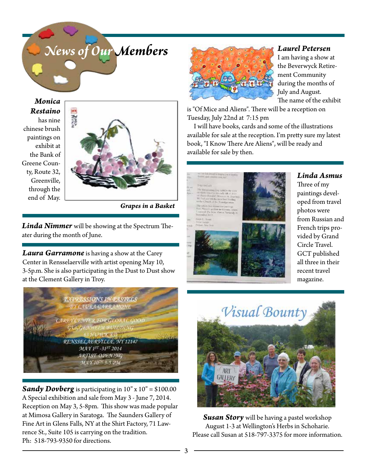

*Monica Restaino* has nine chinese brush paintings on exhibit at the Bank of Greene County, Route 32, Greenville, through the end of May.



*Grapes in a Basket*

*Linda Nimmer* will be showing at the Spectrum Theater during the month of June.

*Laura Garramone* is having a show at the Carey Center in Rensselaerville with artist opening May 10, 3-5p.m. She is also participating in the Dust to Dust show at the Clement Gallery in Troy.

**EXPRESSIONS IN PASTELS BY LAURA GARRAMONE AREY CENTER FOR GLOBAL GOOD** RENSSELAERVILLE, NY 12147 MAY 1<sup>ST</sup> -31<sup>ST</sup> 2014 **ARTIST OPENING** MAY 10<sup>DI</sup> 3-5 PM

**Sandy Dovberg** is participating in 10" x 10" = \$100.00 A Special exhibition and sale from May 3 - June 7, 2014. Reception on May 3, 5-8pm. This show was made popular at Mimosa Gallery in Saratoga. The Saunders Gallery of Fine Art in Glens Falls, NY at the Shirt Factory, 71 Lawrence St., Suite 105 is carrying on the tradition. Ph: 518-793-9350 for directions.



#### *Laurel Petersen*

I am having a show at the Beverwyck Retirement Community during the months of July and August. The name of the exhibit

is "Of Mice and Aliens". There will be a reception on Tuesday, July 22nd at 7:15 pm

 I will have books, cards and some of the illustrations available for sale at the reception. I'm pretty sure my latest book, "I Know There Are Aliens", will be ready and available for sale by then.



*Linda Asmus*

Three of my paintings developed from travel photos were from Russian and French trips provided by Grand Circle Travel. GCT published all three in their recent travel magazine.



*Susan Story* will be having a pastel workshop August 1-3 at Wellington's Herbs in Schoharie. Please call Susan at 518-797-3375 for more information.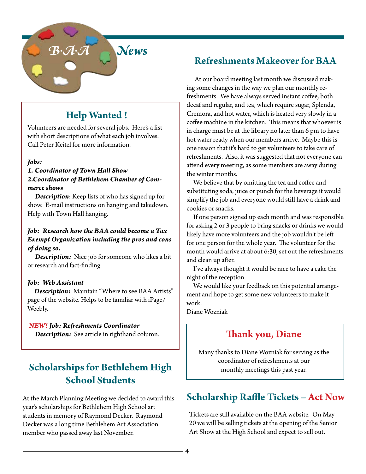

## **Help Wanted !**

Volunteers are needed for several jobs. Here's a list with short descriptions of what each job involves. Call Peter Keitel for more information.

#### *Jobs:*

#### *1. Coordinator of Town Hall Show 2.Coordinator of Bethlehem Chamber of Commerce shows*

 *Description*: Keep lists of who has signed up for show. E-mail instructions on hanging and takedown. Help with Town Hall hanging.

#### *Job: Research how the BAA could become a Tax Exempt Organization including the pros and cons of doing so.*

 *Description:* Nice job for someone who likes a bit or research and fact-finding.

#### *Job: Web Assistant*

 *Description:* Maintain "Where to see BAA Artists" page of the website. Helps to be familiar with iPage/ Weebly.

#### *NEW! Job: Refreshments Coordinator*

 *Description:* See article in righthand column.

## **Scholarships for Bethlehem High School Students**

At the March Planning Meeting we decided to award this year's scholarships for Bethlehem High School art students in memory of Raymond Decker. Raymond Decker was a long time Bethlehem Art Association member who passed away last November.

## **Refreshments Makeover for BAA**

 At our board meeting last month we discussed making some changes in the way we plan our monthly refreshments. We have always served instant coffee, both decaf and regular, and tea, which require sugar, Splenda, Cremora, and hot water, which is heated very slowly in a coffee machine in the kitchen. This means that whoever is in charge must be at the library no later than 6 pm to have hot water ready when our members arrive. Maybe this is one reason that it's hard to get volunteers to take care of refreshments. Also, it was suggested that not everyone can attend every meeting, as some members are away during the winter months.

 We believe that by omitting the tea and coffee and substituting soda, juice or punch for the beverage it would simplify the job and everyone would still have a drink and cookies or snacks.

 If one person signed up each month and was responsible for asking 2 or 3 people to bring snacks or drinks we would likely have more volunteers and the job wouldn't be left for one person for the whole year. The volunteer for the month would arrive at about 6:30, set out the refreshments and clean up after.

 I've always thought it would be nice to have a cake the night of the reception.

 We would like your feedback on this potential arrangement and hope to get some new volunteers to make it work.

Diane Wozniak

## **Thank you, Diane**

Many thanks to Diane Wozniak for serving as the coordinator of refreshments at our monthly meetings this past year.

## **Scholarship Raffle Tickets – Act Now**

Tickets are still available on the BAA website. On May 20 we will be selling tickets at the opening of the Senior Art Show at the High School and expect to sell out.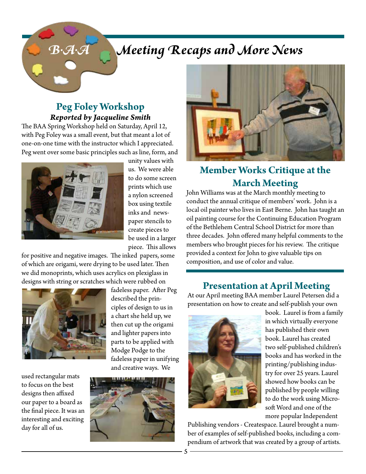## *B.A.A Meeting Recaps and More News*

### **Peg Foley Workshop** *Reported by Jacqueline Smith*

The BAA Spring Workshop held on Saturday, April 12, with Peg Foley was a small event, but that meant a lot of one-on-one time with the instructor which I appreciated. Peg went over some basic principles such as line, form, and



unity values with us. We were able to do some screen prints which use a nylon screened box using textile inks and newspaper stencils to create pieces to be used in a larger piece. This allows

for positive and negative images. The inked papers, some of which are origami, were drying to be used later. Then we did monoprints, which uses acrylics on plexiglass in designs with string or scratches which were rubbed on



used rectangular mats to focus on the best designs then affixed our paper to a board as the final piece. It was an interesting and exciting day for all of us.







## **Member Works Critique at the March Meeting**

John Williams was at the March monthly meeting to conduct the annual critique of members' work. John is a local oil painter who lives in East Berne. John has taught an oil painting course for the Continuing Education Program of the Bethlehem Central School District for more than three decades. John offered many helpful comments to the members who brought pieces for his review. The critique provided a context for John to give valuable tips on composition, and use of color and value.

### **Presentation at April Meeting**

At our April meeting BAA member Laurel Petersen did a presentation on how to create and self-publish your own



book. Laurel is from a family in which virtually everyone has published their own book. Laurel has created two self-published children's books and has worked in the printing/publishing industry for over 25 years. Laurel showed how books can be published by people willing to do the work using Microsoft Word and one of the more popular Independent

Publishing vendors - Createspace. Laurel brought a number of examples of self-published books, including a compendium of artwork that was created by a group of artists.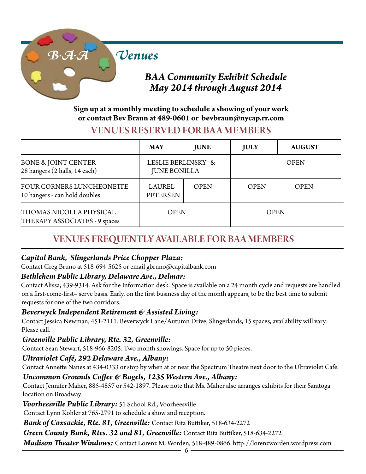

## **Sign up at a monthly meeting to schedule a showing of your work**

#### **or contact Bev Braun at 489-0601 or bevbraun@nycap.rr.com**

## VENUES RESERVED FOR BA A MEMBERS

|                                                                   | <b>MAY</b>                                | <b>JUNE</b> | <b>JULY</b> | <b>AUGUST</b> |
|-------------------------------------------------------------------|-------------------------------------------|-------------|-------------|---------------|
| <b>BONE &amp; JOINT CENTER</b><br>28 hangers (2 halls, 14 each)   | LESLIE BERLINSKY &<br><b>JUNE BONILLA</b> |             | <b>OPEN</b> |               |
| <b>FOUR CORNERS LUNCHEONETTE</b><br>10 hangers - can hold doubles | <b>LAUREL</b><br><b>PETERSEN</b>          | <b>OPEN</b> | <b>OPEN</b> | <b>OPEN</b>   |
| THOMAS NICOLLA PHYSICAL<br>THERAPY ASSOCIATES - 9 spaces          | <b>OPEN</b>                               |             | <b>OPEN</b> |               |

## VENUES FREQUENTLY AVAILABLE FOR BAA MEMBERS

### *Capital Bank, Slingerlands Price Chopper Plaza:*

Contact Greg Bruno at 518-694-5625 or email gbruno@capitalbank.com

### *Bethlehem Public Library, Delaware Ave., Delmar:*

Contact Alissa, 439-9314. Ask for the Information desk. Space is available on a 24 month cycle and requests are handled on a first-come-first– serve basis. Early, on the first business day of the month appears, to be the best time to submit requests for one of the two corridors.

### *Beverwyck Independent Retirement & Assisted Living:*

Contact Jessica Newman, 451-2111. Beverwyck Lane/Autumn Drive, Slingerlands, 15 spaces, availability will vary. Please call.

### *Greenville Public Library, Rte. 32, Greenville:*

Contact Sean Stewart, 518-966-8205. Two month showings. Space for up to 50 pieces.

### *Ultraviolet Café, 292 Delaware Ave., Albany:*

Contact Annette Nanes at 434-0333 or stop by when at or near the Spectrum Theatre next door to the Ultraviolet Café.

### *Uncommon Grounds Coffee & Bagels, 1235 Western Ave., Albany:*

Contact Jennifer Maher, 885-4857 or 542-1897. Please note that Ms. Maher also arranges exhibits for their Saratoga location on Broadway.

*Voorheesville Public Library:* 51 School Rd., Voorheesville

Contact Lynn Kohler at 765-2791 to schedule a show and reception.

*Bank of Coxsackie, Rte. 81, Greenville:* Contact Rita Buttiker, 518-634-2272

*Green County Bank, Rtes. 32 and 81, Greenville:* Contact Rita Buttiker, 518-634-2272

*Madison Theater Windows:* Contact Lorenz M. Worden, 518-489-0866 http://lorenzworden.wordpress.com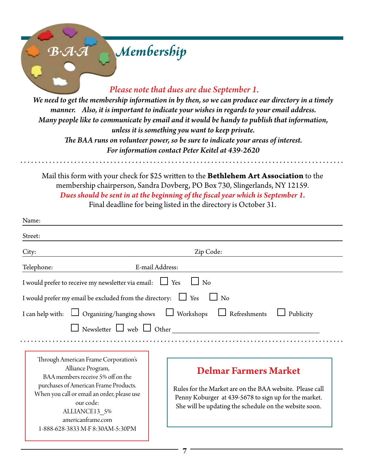## *B.A.A Membership Please note that dues are due September 1. We need to get the membership information in by then, so we can produce our directory in a timely manner. Also, it is important to indicate your wishes in regards to your email address. Many people like to communicate by email and it would be handy to publish that information, unless it is something you want to keep private.*

*The BAA runs on volunteer power, so be sure to indicate your areas of interest. For information contact Peter Keitel at 439-2620*

Mail this form with your check for \$25 written to the **Bethlehem Art Association** to the membership chairperson, Sandra Dovberg, PO Box 730, Slingerlands, NY 12159. *Dues should be sent in at the beginning of the fiscal year which is September 1.*  Final deadline for being listed in the directory is October 31.

| Name:                                                                                                                                                                                  |                                                                                                                                                                                                             |  |  |  |
|----------------------------------------------------------------------------------------------------------------------------------------------------------------------------------------|-------------------------------------------------------------------------------------------------------------------------------------------------------------------------------------------------------------|--|--|--|
| Street:                                                                                                                                                                                |                                                                                                                                                                                                             |  |  |  |
| City:                                                                                                                                                                                  | Zip Code:                                                                                                                                                                                                   |  |  |  |
| E-mail Address:<br>Telephone:                                                                                                                                                          |                                                                                                                                                                                                             |  |  |  |
| I would prefer to receive my newsletter via email: $\Box$ Yes                                                                                                                          | $\Box$ No                                                                                                                                                                                                   |  |  |  |
| I would prefer my email be excluded from the directory: $\Box$ Yes $\Box$ No                                                                                                           |                                                                                                                                                                                                             |  |  |  |
| I can help with: $\Box$ Organizing/hanging shows $\Box$ Workshops                                                                                                                      | $\Box$ Refreshments<br>Publicity                                                                                                                                                                            |  |  |  |
| $\Box$ Newsletter $\Box$ web $\Box$ Other                                                                                                                                              |                                                                                                                                                                                                             |  |  |  |
|                                                                                                                                                                                        |                                                                                                                                                                                                             |  |  |  |
| Through American Frame Corporation's<br>Alliance Program,<br>BAA members receive 5% off on the<br>purchases of American Frame Products.<br>When you call or email an order, please use | <b>Delmar Farmers Market</b><br>Rules for the Market are on the BAA website. Please call<br>Penny Koburger at 439-5678 to sign up for the market.<br>She will be updating the schedule on the website soon. |  |  |  |
| our code:<br>ALLIANCE13 5%<br>americanframe.com<br>1-888-628-3833 M-F 8:30AM-5:30PM                                                                                                    |                                                                                                                                                                                                             |  |  |  |